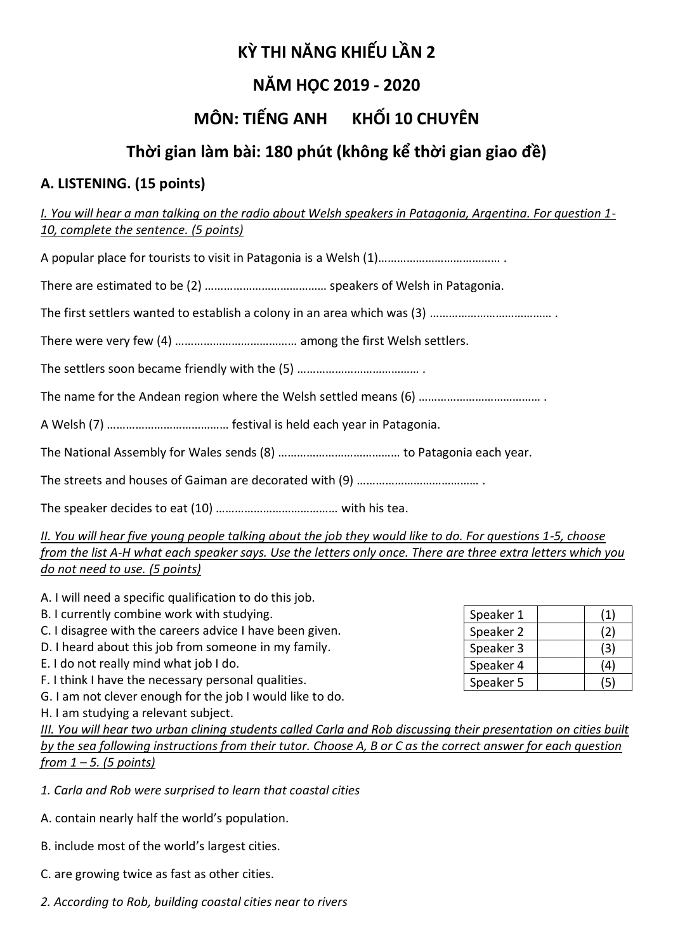# **KỲ THI NĂNG KHIẾU LẦN 2**

# **NĂM HỌC 2019 - 2020**

# **MÔN: TIẾNG ANH KHỐI 10 CHUYÊN**

# **Thời gian làm bài: 180 phút (không kể thời gian giao đề)**

# **A. LISTENING. (15 points)**

*I. You will hear a man talking on the radio about Welsh speakers in Patagonia, Argentina. For question 1- 10, complete the sentence. (5 points)*

A popular place for tourists to visit in Patagonia is a Welsh (1)………………………………… .

There are estimated to be (2) ………………………………… speakers of Welsh in Patagonia.

The first settlers wanted to establish a colony in an area which was (3) ………………………………… .

There were very few (4) ………………………………… among the first Welsh settlers.

The settlers soon became friendly with the (5) ………………………………… .

The name for the Andean region where the Welsh settled means (6) …………………………………………

A Welsh (7) ………………………………… festival is held each year in Patagonia.

The National Assembly for Wales sends (8) ………………………………… to Patagonia each year.

The streets and houses of Gaiman are decorated with (9) ………………………………… .

The speaker decides to eat (10) ………………………………… with his tea.

*II. You will hear five young people talking about the job they would like to do. For questions 1-5, choose from the list A-H what each speaker says. Use the letters only once. There are three extra letters which you do not need to use. (5 points)*

- A. I will need a specific qualification to do this job.
- B. I currently combine work with studying.
- C. I disagree with the careers advice I have been given.
- D. I heard about this job from someone in my family.
- E. I do not really mind what job I do.
- F. I think I have the necessary personal qualities.
- G. I am not clever enough for the job I would like to do.
- H. I am studying a relevant subject.

*III. You will hear two urban clining students called Carla and Rob discussing their presentation on cities built by the sea following instructions from their tutor. Choose A, B or C as the correct answer for each question from 1 – 5. (5 points)*

- *1. Carla and Rob were surprised to learn that coastal cities*
- A. contain nearly half the world's population.
- B. include most of the world's largest cities.
- C. are growing twice as fast as other cities.
- *2. According to Rob, building coastal cities near to rivers*

| Speaker 1 | (1) |
|-----------|-----|
| Speaker 2 | (2) |
| Speaker 3 | (3) |
| Speaker 4 | 14  |
| Speaker 5 | (5) |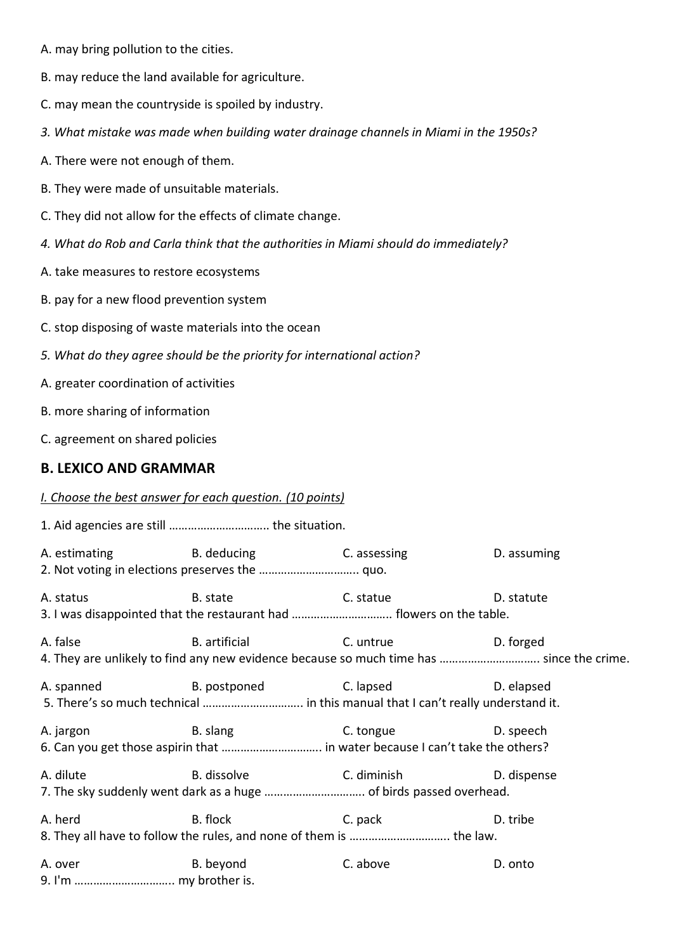- A. may bring pollution to the cities.
- B. may reduce the land available for agriculture.
- C. may mean the countryside is spoiled by industry.
- *3. What mistake was made when building water drainage channels in Miami in the 1950s?*
- A. There were not enough of them.
- B. They were made of unsuitable materials.
- C. They did not allow for the effects of climate change.
- *4. What do Rob and Carla think that the authorities in Miami should do immediately?*
- A. take measures to restore ecosystems
- B. pay for a new flood prevention system
- C. stop disposing of waste materials into the ocean
- *5. What do they agree should be the priority for international action?*
- A. greater coordination of activities
- B. more sharing of information
- C. agreement on shared policies

#### **B. LEXICO AND GRAMMAR**

#### *I. Choose the best answer for each question. (10 points)*

|                                                                                                                                                                                                                                                          | A. estimating The B. deducing The C. assessing                                                                      |                                                                                                                                                                                                                                | D. assuming |
|----------------------------------------------------------------------------------------------------------------------------------------------------------------------------------------------------------------------------------------------------------|---------------------------------------------------------------------------------------------------------------------|--------------------------------------------------------------------------------------------------------------------------------------------------------------------------------------------------------------------------------|-------------|
| A. status                                                                                                                                                                                                                                                | B. state<br>3. I was disappointed that the restaurant had  flowers on the table.                                    | C. statue                                                                                                                                                                                                                      | D. statute  |
| A. false                                                                                                                                                                                                                                                 | B. artificial C. untrue<br>4. They are unlikely to find any new evidence because so much time has  since the crime. |                                                                                                                                                                                                                                | D. forged   |
|                                                                                                                                                                                                                                                          | A. spanned B. postponed<br>5. There's so much technical  in this manual that I can't really understand it.          | C. lapsed and the control of the control of the control of the control of the control of the control of the control of the control of the control of the control of the control of the control of the control of the control o | D. elapsed  |
| A. jargon                                                                                                                                                                                                                                                |                                                                                                                     | B. slang C. tongue                                                                                                                                                                                                             | D. speech   |
| A. dilute                                                                                                                                                                                                                                                | B. dissolve C. diminish                                                                                             |                                                                                                                                                                                                                                | D. dispense |
| A. herd                                                                                                                                                                                                                                                  | B. flock<br>8. They all have to follow the rules, and none of them is  the law.                                     | C. pack                                                                                                                                                                                                                        | D. tribe    |
| A. over the contract of the contract of the contract of the contract of the contract of the contract of the contract of the contract of the contract of the contract of the contract of the contract of the contract of the co<br>9. I'm  my brother is. | B. beyond                                                                                                           | C. above                                                                                                                                                                                                                       | D. onto     |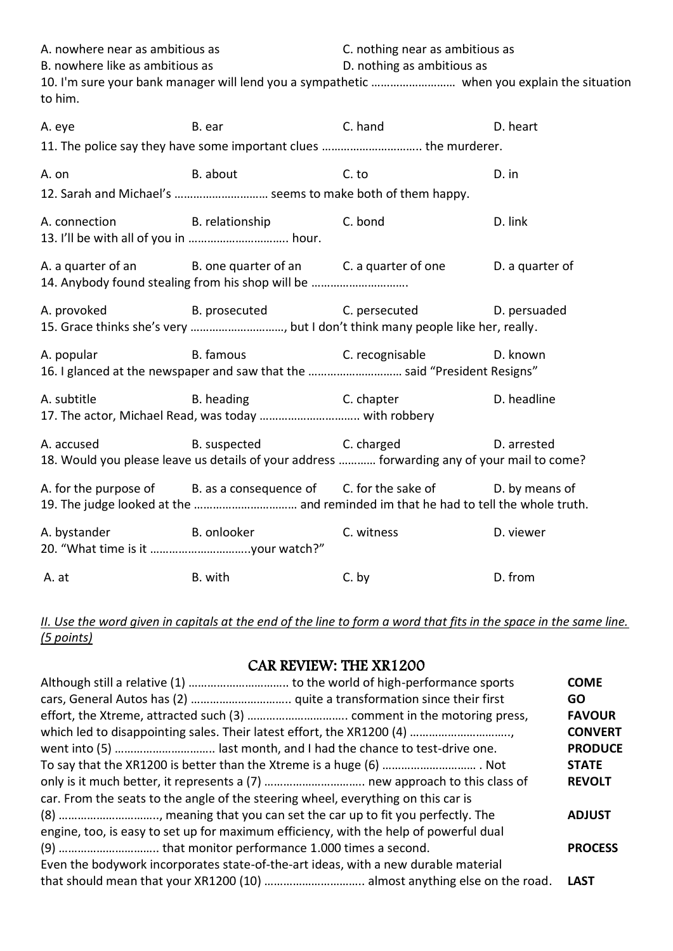A. nowhere near as ambitious as C. nothing near as ambitious as B. nowhere like as ambitious as  $D.$  nothing as ambitious as 10. I'm sure your bank manager will lend you a sympathetic ……………………… when you explain the situation to him.

A. eye B. ear C. hand D. heart 11. The police say they have some important clues ………………………….. the murderer. A. on B. about C. to C. to D. in 12. Sarah and Michael's ………………………… seems to make both of them happy. A. connection B. relationship C. bond D. link 13. I'll be with all of you in ………………………….. hour. A. a quarter of an B. one quarter of an C. a quarter of one D. a quarter of 14. Anybody found stealing from his shop will be …………………………. A. provoked B. prosecuted C. persecuted D. persuaded 15. Grace thinks she's very …………………………, but I don't think many people like her, really. A. popular B. famous B. famous C. recognisable D. known 16. I glanced at the newspaper and saw that the ………………………… said "President Resigns" A. subtitle **B.** heading C. chapter **D.** headline 17. The actor, Michael Read, was today ………………………….. with robbery A. accused B. suspected C. charged D. arrested 18. Would you please leave us details of your address ………… forwarding any of your mail to come? A. for the purpose of B. as a consequence of C. for the sake of D. by means of 19. The judge looked at the …………………………… and reminded im that he had to tell the whole truth. A. bystander B. onlooker C. witness D. viewer 20. "What time is it …………………………..your watch?" A. at B. with C. by D. from

*II. Use the word given in capitals at the end of the line to form a word that fits in the space in the same line. (5 points)*

# CAR REVIEW: THE XR1200

|                                                                                       | <b>COME</b>    |
|---------------------------------------------------------------------------------------|----------------|
|                                                                                       | GO.            |
|                                                                                       | <b>FAVOUR</b>  |
|                                                                                       | <b>CONVERT</b> |
|                                                                                       | <b>PRODUCE</b> |
|                                                                                       | <b>STATE</b>   |
|                                                                                       | <b>REVOLT</b>  |
| car. From the seats to the angle of the steering wheel, everything on this car is     |                |
|                                                                                       | <b>ADJUST</b>  |
| engine, too, is easy to set up for maximum efficiency, with the help of powerful dual |                |
|                                                                                       | <b>PROCESS</b> |
| Even the bodywork incorporates state-of-the-art ideas, with a new durable material    |                |
|                                                                                       | <b>LAST</b>    |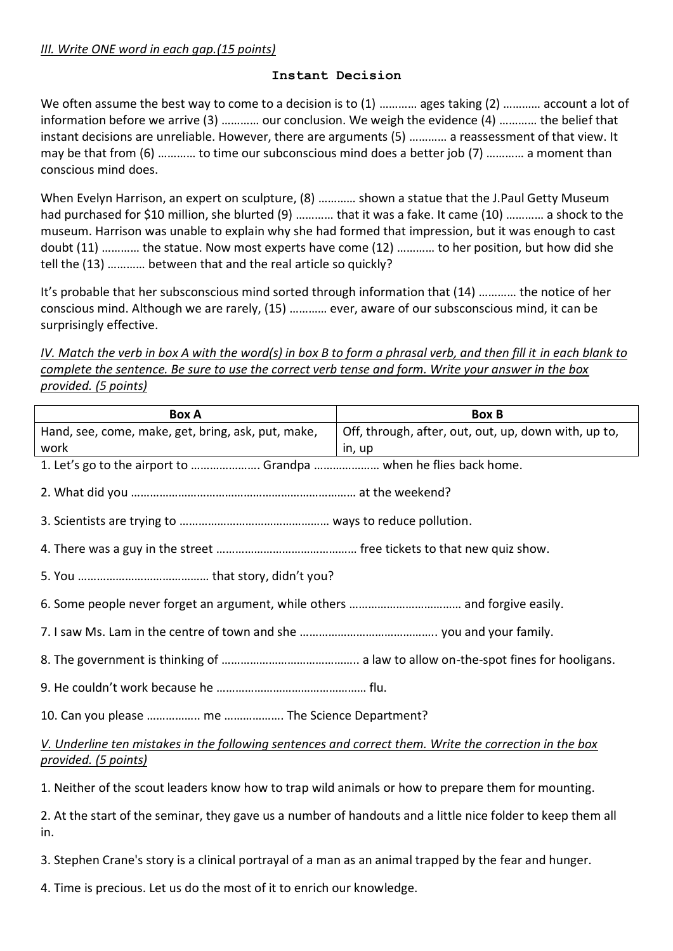#### **Instant Decision**

We often assume the best way to come to a decision is to (1) ............ ages taking (2) ............ account a lot of information before we arrive (3) ………… our conclusion. We weigh the evidence (4) ………… the belief that instant decisions are unreliable. However, there are arguments (5) ………… a reassessment of that view. It may be that from (6) ………… to time our subconscious mind does a better job (7) ………… a moment than conscious mind does.

When Evelyn Harrison, an expert on sculpture, (8) ………… shown a statue that the J.Paul Getty Museum had purchased for \$10 million, she blurted (9) ………… that it was a fake. It came (10) ………… a shock to the museum. Harrison was unable to explain why she had formed that impression, but it was enough to cast doubt (11) ………… the statue. Now most experts have come (12) ………… to her position, but how did she tell the (13) ………… between that and the real article so quickly?

It's probable that her subsconscious mind sorted through information that (14) ………… the notice of her conscious mind. Although we are rarely, (15) ………… ever, aware of our subsconscious mind, it can be surprisingly effective.

*IV. Match the verb in box A with the word(s) in box B to form a phrasal verb, and then fill it in each blank to complete the sentence. Be sure to use the correct verb tense and form. Write your answer in the box provided. (5 points)*

| <b>Box A</b>                                                                                                                   | <b>Box B</b>                                         |
|--------------------------------------------------------------------------------------------------------------------------------|------------------------------------------------------|
| Hand, see, come, make, get, bring, ask, put, make,                                                                             | Off, through, after, out, out, up, down with, up to, |
| work                                                                                                                           | in, up                                               |
| 1. Let's go to the airport to  Grandpa  when he flies back home.                                                               |                                                      |
|                                                                                                                                |                                                      |
|                                                                                                                                |                                                      |
|                                                                                                                                |                                                      |
|                                                                                                                                |                                                      |
|                                                                                                                                |                                                      |
|                                                                                                                                |                                                      |
|                                                                                                                                |                                                      |
|                                                                                                                                |                                                      |
|                                                                                                                                |                                                      |
| V. Underline ten mistakes in the following sentences and correct them. Write the correction in the box<br>provided. (5 points) |                                                      |
| 1. Neither of the scout leaders know how to trap wild animals or how to prepare them for mounting.                             |                                                      |
| 2. At the start of the seminar, they gave us a number of handouts and a little nice folder to keep them all<br>in.             |                                                      |
| 3. Stephen Crane's story is a clinical portrayal of a man as an animal trapped by the fear and hunger.                         |                                                      |
| 4. Time is precious. Let us do the most of it to enrich our knowledge.                                                         |                                                      |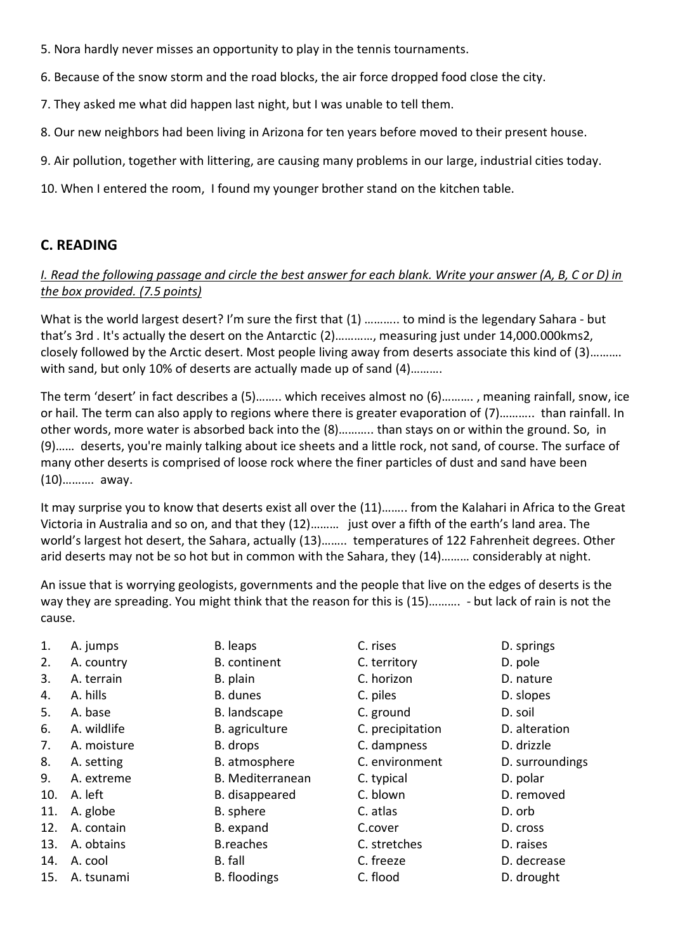- 5. Nora hardly never misses an opportunity to play in the tennis tournaments.
- 6. Because of the snow storm and the road blocks, the air force dropped food close the city.
- 7. They asked me what did happen last night, but I was unable to tell them.
- 8. Our new neighbors had been living in Arizona for ten years before moved to their present house.
- 9. Air pollution, together with littering, are causing many problems in our large, industrial cities today.
- 10. When I entered the room, I found my younger brother stand on the kitchen table.

# **C. READING**

### *I. Read the following passage and circle the best answer for each blank. Write your answer (A, B, C or D) in the box provided. (7.5 points)*

What is the world largest desert? I'm sure the first that (1) ........... to mind is the legendary Sahara - but that's 3rd . It's actually the desert on the Antarctic (2)…………, measuring just under 14,000.000kms2, closely followed by the Arctic desert. Most people living away from deserts associate this kind of (3)………. with sand, but only 10% of deserts are actually made up of sand (4)……….

The term 'desert' in fact describes a (5)…….. which receives almost no (6)………. , meaning rainfall, snow, ice or hail. The term can also apply to regions where there is greater evaporation of (7)……….. than rainfall. In other words, more water is absorbed back into the (8)……….. than stays on or within the ground. So, in (9)…… deserts, you're mainly talking about ice sheets and a little rock, not sand, of course. The surface of many other deserts is comprised of loose rock where the finer particles of dust and sand have been (10)………. away.

It may surprise you to know that deserts exist all over the (11)…….. from the Kalahari in Africa to the Great Victoria in Australia and so on, and that they (12)……… just over a fifth of the earth's land area. The world's largest hot desert, the Sahara, actually (13)…….. temperatures of 122 Fahrenheit degrees. Other arid deserts may not be so hot but in common with the Sahara, they (14)……… considerably at night.

An issue that is worrying geologists, governments and the people that live on the edges of deserts is the way they are spreading. You might think that the reason for this is (15)………. - but lack of rain is not the cause.

- 
- 
- 
- 
- 
- 
- 
- 
- 
- 
- 
- 
- 
- 
- 15. A. tsunami B. floodings C. flood D. drought
- 
- 
- 
- 
- 
- 
- 
- 
- 
- 
- 
- 
- 
- 
- 
- 1. A. jumps **B. leaps** B. leaps **C. rises** D. springs 2. A. country **B.** continent **C. territory D. pole** 3. A. terrain B. plain C. horizon D. nature 4. A. hills **B. dunes** B. dunes C. piles **C. piles** D. slopes 5. A. base B. landscape C. ground D. soil 6. A. wildlife B. agriculture C. precipitation D. alteration 7. A. moisture B. drops C. dampness D. drizzle 8. A. setting The B. atmosphere C. environment D. surroundings 9. A. extreme B. Mediterranean C. typical D. polar 10. A. left **B.** disappeared **C. blown** D. removed 11. A. globe **B.** sphere **B.** c. atlas **B.** orb 12. A. contain B. expand C.cover D. cross 13. A. obtains B.reaches C. stretches D. raises 14. A. cool B. fall C. freeze D. decrease
- -
	-
	-
	-
	-
	-
	-
	-
	-
	-
	-
	-
	-
	-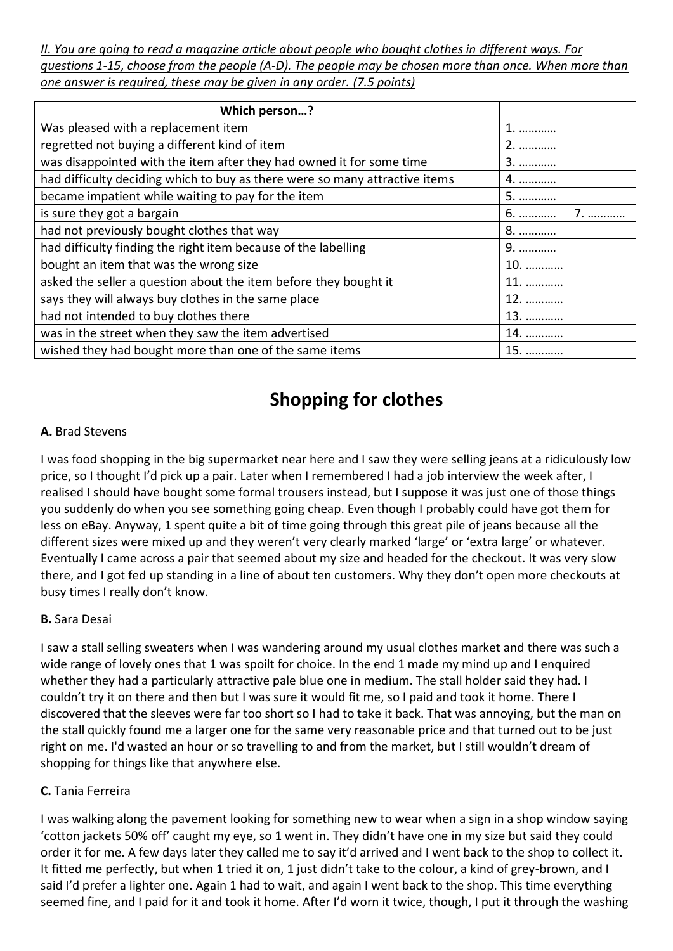*II. You are going to read a magazine article about people who bought clothes in different ways. For questions 1-15, choose from the people (A-D). The people may be chosen more than once. When more than one answer is required, these may be given in any order. (7.5 points)*

| Which person?                                                               |     |
|-----------------------------------------------------------------------------|-----|
| Was pleased with a replacement item                                         |     |
| regretted not buying a different kind of item                               | 2.  |
| was disappointed with the item after they had owned it for some time        | 3.  |
| had difficulty deciding which to buy as there were so many attractive items | 4.  |
| became impatient while waiting to pay for the item                          | 5.  |
| is sure they got a bargain                                                  | 6.  |
| had not previously bought clothes that way                                  | 8.  |
| had difficulty finding the right item because of the labelling              | 9.  |
| bought an item that was the wrong size                                      | 10. |
| asked the seller a question about the item before they bought it            | 11. |
| says they will always buy clothes in the same place                         | 12. |
| had not intended to buy clothes there                                       | 13. |
| was in the street when they saw the item advertised                         | 14. |
| wished they had bought more than one of the same items                      | 15. |

# **Shopping for clothes**

### **A.** Brad Stevens

I was food shopping in the big supermarket near here and I saw they were selling jeans at a ridiculously low price, so I thought I'd pick up a pair. Later when I remembered I had a job interview the week after, I realised I should have bought some formal trousers instead, but I suppose it was just one of those things you suddenly do when you see something going cheap. Even though I probably could have got them for less on eBay. Anyway, 1 spent quite a bit of time going through this great pile of jeans because all the different sizes were mixed up and they weren't very clearly marked 'large' or 'extra large' or whatever. Eventually I came across a pair that seemed about my size and headed for the checkout. It was very slow there, and I got fed up standing in a line of about ten customers. Why they don't open more checkouts at busy times I really don't know.

#### **B.** Sara Desai

I saw a stall selling sweaters when I was wandering around my usual clothes market and there was such a wide range of lovely ones that 1 was spoilt for choice. In the end 1 made my mind up and I enquired whether they had a particularly attractive pale blue one in medium. The stall holder said they had. I couldn't try it on there and then but I was sure it would fit me, so I paid and took it home. There I discovered that the sleeves were far too short so I had to take it back. That was annoying, but the man on the stall quickly found me a larger one for the same very reasonable price and that turned out to be just right on me. I'd wasted an hour or so travelling to and from the market, but I still wouldn't dream of shopping for things like that anywhere else.

#### **C.** Tania Ferreira

I was walking along the pavement looking for something new to wear when a sign in a shop window saying 'cotton jackets 50% off' caught my eye, so 1 went in. They didn't have one in my size but said they could order it for me. A few days later they called me to say it'd arrived and I went back to the shop to collect it. It fitted me perfectly, but when 1 tried it on, 1 just didn't take to the colour, a kind of grey-brown, and I said I'd prefer a lighter one. Again 1 had to wait, and again I went back to the shop. This time everything seemed fine, and I paid for it and took it home. After I'd worn it twice, though, I put it through the washing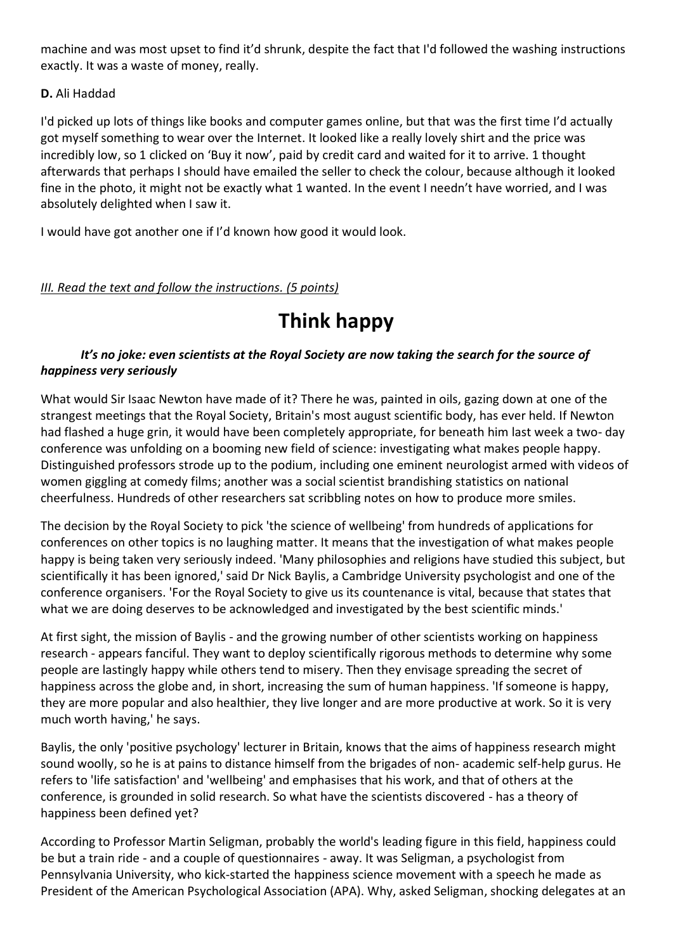machine and was most upset to find it'd shrunk, despite the fact that I'd followed the washing instructions exactly. It was a waste of money, really.

### **D.** Ali Haddad

I'd picked up lots of things like books and computer games online, but that was the first time I'd actually got myself something to wear over the Internet. It looked like a really lovely shirt and the price was incredibly low, so 1 clicked on 'Buy it now', paid by credit card and waited for it to arrive. 1 thought afterwards that perhaps I should have emailed the seller to check the colour, because although it looked fine in the photo, it might not be exactly what 1 wanted. In the event I needn't have worried, and I was absolutely delighted when I saw it.

I would have got another one if I'd known how good it would look.

# *III. Read the text and follow the instructions. (5 points)*

# **Think happy**

#### *It's no joke: even scientists at the Royal Society are now taking the search for the source of happiness very seriously*

What would Sir Isaac Newton have made of it? There he was, painted in oils, gazing down at one of the strangest meetings that the Royal Society, Britain's most august scientific body, has ever held. If Newton had flashed a huge grin, it would have been completely appropriate, for beneath him last week a two- day conference was unfolding on a booming new field of science: investigating what makes people happy. Distinguished professors strode up to the podium, including one eminent neurologist armed with videos of women giggling at comedy films; another was a social scientist brandishing statistics on national cheerfulness. Hundreds of other researchers sat scribbling notes on how to produce more smiles.

The decision by the Royal Society to pick 'the science of wellbeing' from hundreds of applications for conferences on other topics is no laughing matter. It means that the investigation of what makes people happy is being taken very seriously indeed. 'Many philosophies and religions have studied this subject, but scientifically it has been ignored,' said Dr Nick Baylis, a Cambridge University psychologist and one of the conference organisers. 'For the Royal Society to give us its countenance is vital, because that states that what we are doing deserves to be acknowledged and investigated by the best scientific minds.'

At first sight, the mission of Baylis - and the growing number of other scientists working on happiness research - appears fanciful. They want to deploy scientifically rigorous methods to determine why some people are lastingly happy while others tend to misery. Then they envisage spreading the secret of happiness across the globe and, in short, increasing the sum of human happiness. 'If someone is happy, they are more popular and also healthier, they live longer and are more productive at work. So it is very much worth having,' he says.

Baylis, the only 'positive psychology' lecturer in Britain, knows that the aims of happiness research might sound woolly, so he is at pains to distance himself from the brigades of non- academic self-help gurus. He refers to 'life satisfaction' and 'wellbeing' and emphasises that his work, and that of others at the conference, is grounded in solid research. So what have the scientists discovered - has a theory of happiness been defined yet?

According to Professor Martin Seligman, probably the world's leading figure in this field, happiness could be but a train ride - and a couple of questionnaires - away. It was Seligman, a psychologist from Pennsylvania University, who kick-started the happiness science movement with a speech he made as President of the American Psychological Association (APA). Why, asked Seligman, shocking delegates at an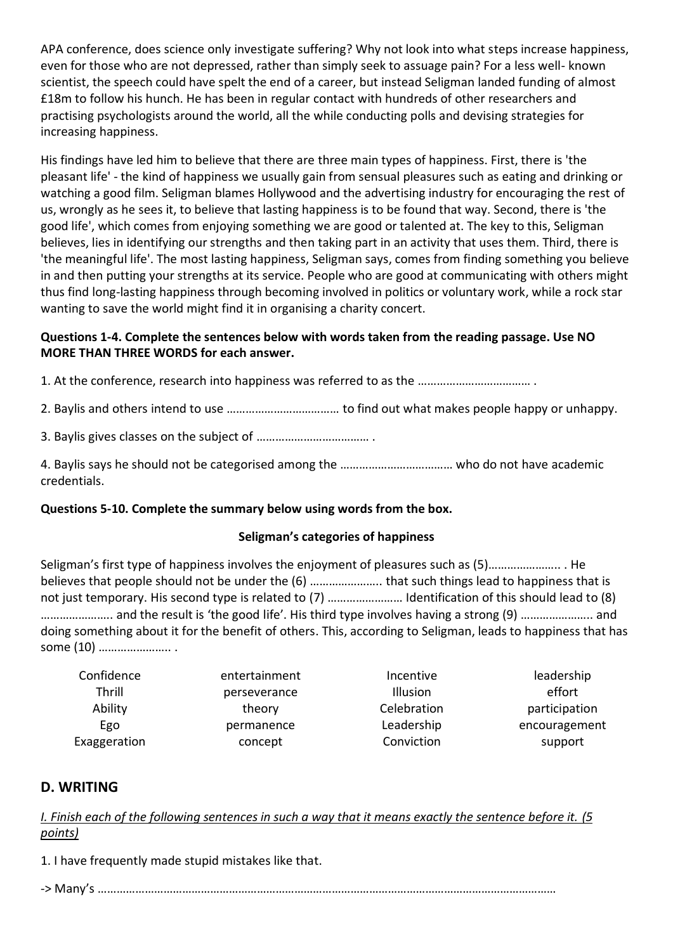APA conference, does science only investigate suffering? Why not look into what steps increase happiness, even for those who are not depressed, rather than simply seek to assuage pain? For a less well- known scientist, the speech could have spelt the end of a career, but instead Seligman landed funding of almost £18m to follow his hunch. He has been in regular contact with hundreds of other researchers and practising psychologists around the world, all the while conducting polls and devising strategies for increasing happiness.

His findings have led him to believe that there are three main types of happiness. First, there is 'the pleasant life' - the kind of happiness we usually gain from sensual pleasures such as eating and drinking or watching a good film. Seligman blames Hollywood and the advertising industry for encouraging the rest of us, wrongly as he sees it, to believe that lasting happiness is to be found that way. Second, there is 'the good life', which comes from enjoying something we are good or talented at. The key to this, Seligman believes, lies in identifying our strengths and then taking part in an activity that uses them. Third, there is 'the meaningful life'. The most lasting happiness, Seligman says, comes from finding something you believe in and then putting your strengths at its service. People who are good at communicating with others might thus find long-lasting happiness through becoming involved in politics or voluntary work, while a rock star wanting to save the world might find it in organising a charity concert.

#### **Questions 1-4. Complete the sentences below with words taken from the reading passage. Use NO MORE THAN THREE WORDS for each answer.**

1. At the conference, research into happiness was referred to as the ……………………………… .

- 2. Baylis and others intend to use ……………………………… to find out what makes people happy or unhappy.
- 3. Baylis gives classes on the subject of ……………………………… .
- 4. Baylis says he should not be categorised among the ……………………………… who do not have academic credentials.

#### **Questions 5-10. Complete the summary below using words from the box.**

#### **Seligman's categories of happiness**

Seligman's first type of happiness involves the enjoyment of pleasures such as (5)………………….. . He believes that people should not be under the (6) ………………….. that such things lead to happiness that is not just temporary. His second type is related to (7) …………………… Identification of this should lead to (8) ………………….. and the result is 'the good life'. His third type involves having a strong (9) ………………….. and doing something about it for the benefit of others. This, according to Seligman, leads to happiness that has some (10) ………………….. .

| Confidence   | entertainment | Incentive   | leadership    |
|--------------|---------------|-------------|---------------|
| Thrill       | perseverance  | Illusion    | effort        |
| Ability      | theory        | Celebration | participation |
| Ego          | permanence    | Leadership  | encouragement |
| Exaggeration | concept       | Conviction  | support       |

### **D. WRITING**

*I. Finish each of the following sentences in such a way that it means exactly the sentence before it. (5 points)*

1. I have frequently made stupid mistakes like that.

-> Many's …………………………………………………………………………………………………………………………………